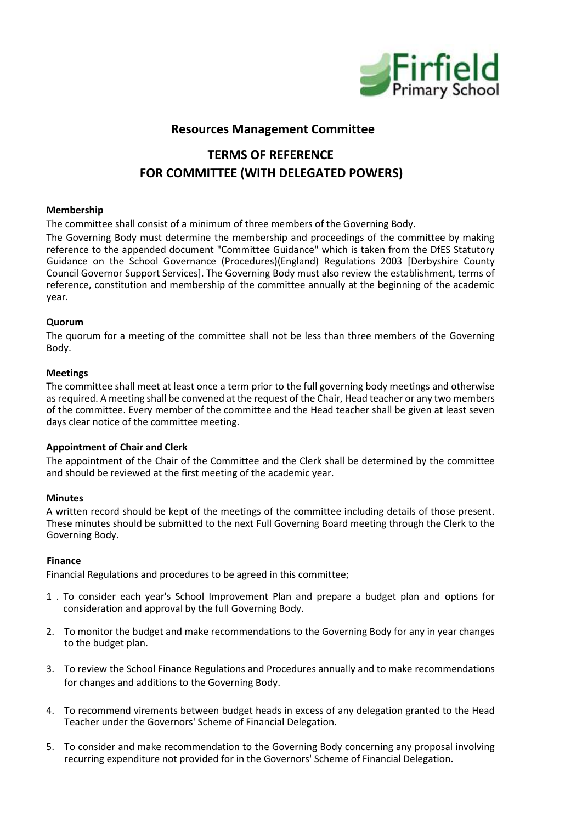

# **Resources Management Committee**

# **TERMS OF REFERENCE FOR COMMITTEE (WITH DELEGATED POWERS)**

#### **Membership**

The committee shall consist of a minimum of three members of the Governing Body.

The Governing Body must determine the membership and proceedings of the committee by making reference to the appended document "Committee Guidance" which is taken from the DfES Statutory Guidance on the School Governance (Procedures)(England) Regulations 2003 [Derbyshire County Council Governor Support Services]. The Governing Body must also review the establishment, terms of reference, constitution and membership of the committee annually at the beginning of the academic year.

#### **Quorum**

The quorum for a meeting of the committee shall not be less than three members of the Governing Body.

#### **Meetings**

The committee shall meet at least once a term prior to the full governing body meetings and otherwise as required. A meeting shall be convened at the request of the Chair, Head teacher or any two members of the committee. Every member of the committee and the Head teacher shall be given at least seven days clear notice of the committee meeting.

#### **Appointment of Chair and Clerk**

The appointment of the Chair of the Committee and the Clerk shall be determined by the committee and should be reviewed at the first meeting of the academic year.

### **Minutes**

A written record should be kept of the meetings of the committee including details of those present. These minutes should be submitted to the next Full Governing Board meeting through the Clerk to the Governing Body.

#### **Finance**

Financial Regulations and procedures to be agreed in this committee;

- 1 . To consider each year's School Improvement Plan and prepare a budget plan and options for consideration and approval by the full Governing Body.
- 2. To monitor the budget and make recommendations to the Governing Body for any in year changes to the budget plan.
- 3. To review the School Finance Regulations and Procedures annually and to make recommendations for changes and additions to the Governing Body.
- 4. To recommend virements between budget heads in excess of any delegation granted to the Head Teacher under the Governors' Scheme of Financial Delegation.
- 5. To consider and make recommendation to the Governing Body concerning any proposal involving recurring expenditure not provided for in the Governors' Scheme of Financial Delegation.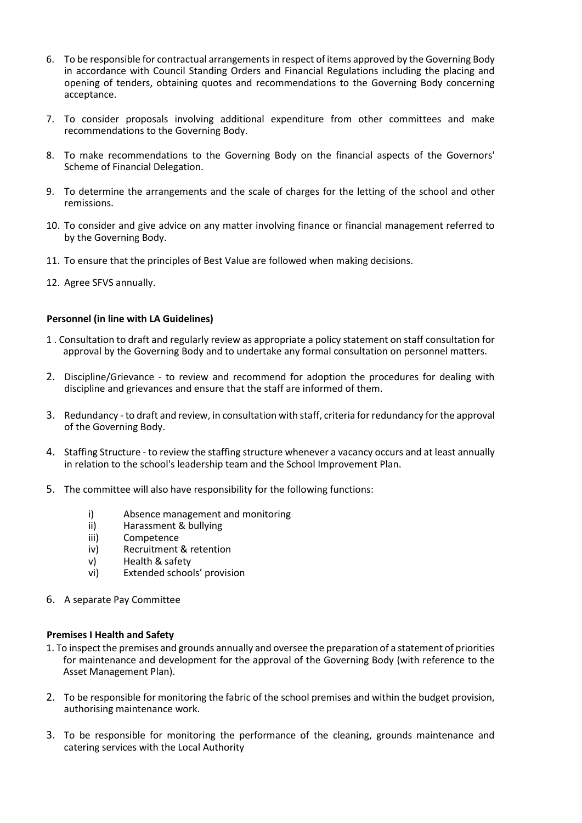- 6. To be responsible for contractual arrangements in respect of items approved by the Governing Body in accordance with Council Standing Orders and Financial Regulations including the placing and opening of tenders, obtaining quotes and recommendations to the Governing Body concerning acceptance.
- 7. To consider proposals involving additional expenditure from other committees and make recommendations to the Governing Body.
- 8. To make recommendations to the Governing Body on the financial aspects of the Governors' Scheme of Financial Delegation.
- 9. To determine the arrangements and the scale of charges for the letting of the school and other remissions.
- 10. To consider and give advice on any matter involving finance or financial management referred to by the Governing Body.
- 11. To ensure that the principles of Best Value are followed when making decisions.
- 12. Agree SFVS annually.

#### **Personnel (in line with LA Guidelines)**

- 1 . Consultation to draft and regularly review as appropriate a policy statement on staff consultation for approval by the Governing Body and to undertake any formal consultation on personnel matters.
- 2. Discipline/Grievance to review and recommend for adoption the procedures for dealing with discipline and grievances and ensure that the staff are informed of them.
- 3. Redundancy to draft and review, in consultation with staff, criteria for redundancy for the approval of the Governing Body.
- 4. Staffing Structure to review the staffing structure whenever a vacancy occurs and at least annually in relation to the school's leadership team and the School Improvement Plan.
- 5. The committee will also have responsibility for the following functions:
	- i) Absence management and monitoring<br>ii) Harassment & bullying
	- Harassment & bullying
	- iii) Competence<br>iv) Recruitment
	- Recruitment & retention
	- v) Health & safety
	- vi) Extended schools' provision
- 6. A separate Pay Committee

#### **Premises I Health and Safety**

- 1. To inspect the premises and grounds annually and oversee the preparation of a statement of priorities for maintenance and development for the approval of the Governing Body (with reference to the Asset Management Plan).
- 2. To be responsible for monitoring the fabric of the school premises and within the budget provision, authorising maintenance work.
- 3. To be responsible for monitoring the performance of the cleaning, grounds maintenance and catering services with the Local Authority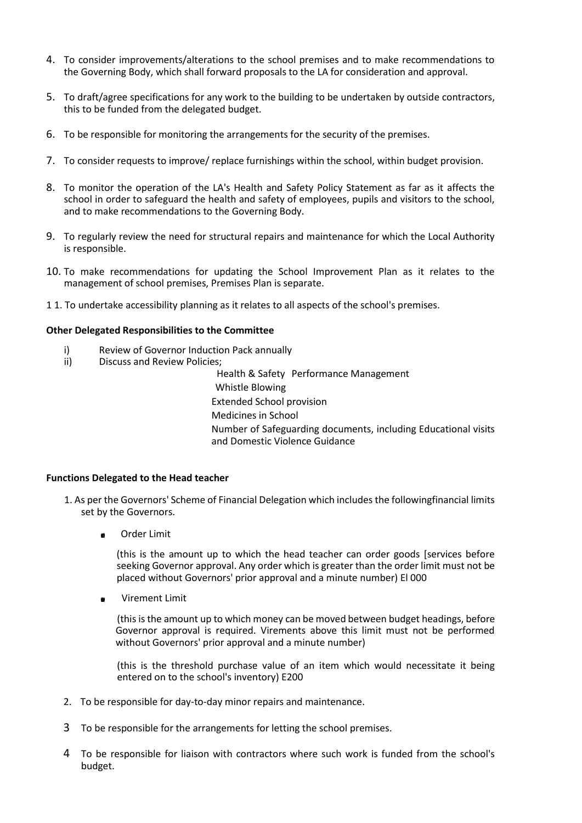- 4. To consider improvements/alterations to the school premises and to make recommendations to the Governing Body, which shall forward proposals to the LA for consideration and approval.
- 5. To draft/agree specifications for any work to the building to be undertaken by outside contractors, this to be funded from the delegated budget.
- 6. To be responsible for monitoring the arrangements for the security of the premises.
- 7. To consider requests to improve/ replace furnishings within the school, within budget provision.
- 8. To monitor the operation of the LA's Health and Safety Policy Statement as far as it affects the school in order to safeguard the health and safety of employees, pupils and visitors to the school, and to make recommendations to the Governing Body.
- 9. To regularly review the need for structural repairs and maintenance for which the Local Authority is responsible.
- 10. To make recommendations for updating the School Improvement Plan as it relates to the management of school premises, Premises Plan is separate.
- 1 1. To undertake accessibility planning as it relates to all aspects of the school's premises.

#### **Other Delegated Responsibilities to the Committee**

- i) Review of Governor Induction Pack annually<br>ii) Discuss and Review Policies;
- Discuss and Review Policies;

Health & Safety Performance Management Whistle Blowing Extended School provision Medicines in School Number of Safeguarding documents, including Educational visits and Domestic Violence Guidance

#### **Functions Delegated to the Head teacher**

- 1. As per the Governors' Scheme of Financial Delegation which includes the followingfinancial limits set by the Governors.
	- Order Limit

(this is the amount up to which the head teacher can order goods [services before seeking Governor approval. Any order which is greater than the order limit must not be placed without Governors' prior approval and a minute number) El 000

Virement Limit œ.

> (thisis the amount up to which money can be moved between budget headings, before Governor approval is required. Virements above this limit must not be performed without Governors' prior approval and a minute number)

> (this is the threshold purchase value of an item which would necessitate it being entered on to the school's inventory) E200

- 2. To be responsible for day-to-day minor repairs and maintenance.
- 3 To be responsible for the arrangements for letting the school premises.
- 4 To be responsible for liaison with contractors where such work is funded from the school's budget.